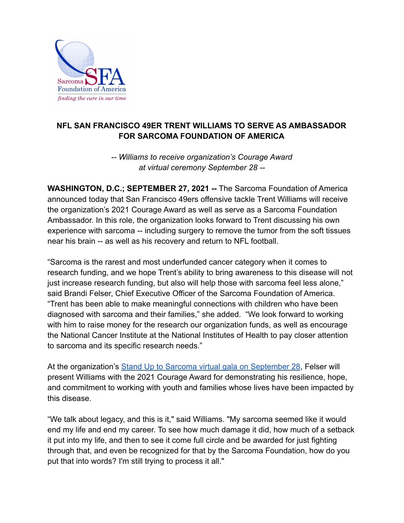

## **NFL SAN FRANCISCO 49ER TRENT WILLIAMS TO SERVE AS AMBASSADOR FOR SARCOMA FOUNDATION OF AMERICA**

*-- Williams to receive organization's Courage Award at virtual ceremony September 28 --*

**WASHINGTON, D.C.; SEPTEMBER 27, 2021 --** The Sarcoma Foundation of America announced today that San Francisco 49ers offensive tackle Trent Williams will receive the organization's 2021 Courage Award as well as serve as a Sarcoma Foundation Ambassador. In this role, the organization looks forward to Trent discussing his own experience with sarcoma -- including surgery to remove the tumor from the soft tissues near his brain -- as well as his recovery and return to NFL football.

"Sarcoma is the rarest and most underfunded cancer category when it comes to research funding, and we hope Trent's ability to bring awareness to this disease will not just increase research funding, but also will help those with sarcoma feel less alone," said Brandi Felser, Chief Executive Officer of the Sarcoma Foundation of America. "Trent has been able to make meaningful connections with children who have been diagnosed with sarcoma and their families," she added. "We look forward to working with him to raise money for the research our organization funds, as well as encourage the National Cancer Institute at the National Institutes of Health to pay closer attention to sarcoma and its specific research needs."

At the organization's [Stand Up to Sarcoma virtual](https://www.curesarcoma.org/nyccelebration/) gala on September 28, Felser will present Williams with the 2021 Courage Award for demonstrating his resilience, hope, and commitment to working with youth and families whose lives have been impacted by this disease.

"We talk about legacy, and this is it," said Williams. "My sarcoma seemed like it would end my life and end my career. To see how much damage it did, how much of a setback it put into my life, and then to see it come full circle and be awarded for just fighting through that, and even be recognized for that by the Sarcoma Foundation, how do you put that into words? I'm still trying to process it all."